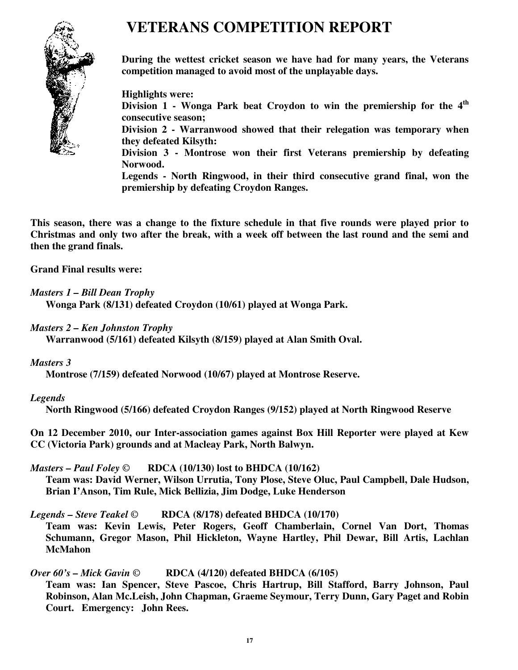# **VETERANS COMPETITION REPORT**



**During the wettest cricket season we have had for many years, the Veterans competition managed to avoid most of the unplayable days.** 

**Highlights were:** 

**Division 1 - Wonga Park beat Croydon to win the premiership for the 4th consecutive season;** 

**Division 2 - Warranwood showed that their relegation was temporary when they defeated Kilsyth:** 

**Division 3 - Montrose won their first Veterans premiership by defeating Norwood.** 

**Legends - North Ringwood, in their third consecutive grand final, won the premiership by defeating Croydon Ranges.** 

**This season, there was a change to the fixture schedule in that five rounds were played prior to Christmas and only two after the break, with a week off between the last round and the semi and then the grand finals.** 

**Grand Final results were:** 

*Masters 1 – Bill Dean Trophy* 

**Wonga Park (8/131) defeated Croydon (10/61) played at Wonga Park.** 

*Masters 2 – Ken Johnston Trophy* 

**Warranwood (5/161) defeated Kilsyth (8/159) played at Alan Smith Oval.** 

### *Masters 3*

**Montrose (7/159) defeated Norwood (10/67) played at Montrose Reserve.** 

# *Legends*

**North Ringwood (5/166) defeated Croydon Ranges (9/152) played at North Ringwood Reserve** 

**On 12 December 2010, our Inter-association games against Box Hill Reporter were played at Kew CC (Victoria Park) grounds and at Macleay Park, North Balwyn.** 

### *Masters – Paul Foley ©* **RDCA (10/130) lost to BHDCA (10/162)**

**Team was: David Werner, Wilson Urrutia, Tony Plose, Steve Oluc, Paul Campbell, Dale Hudson, Brian I'Anson, Tim Rule, Mick Bellizia, Jim Dodge, Luke Henderson** 

# *Legends – Steve Teakel ©* **RDCA (8/178) defeated BHDCA (10/170)**

**Team was: Kevin Lewis, Peter Rogers, Geoff Chamberlain, Cornel Van Dort, Thomas Schumann, Gregor Mason, Phil Hickleton, Wayne Hartley, Phil Dewar, Bill Artis, Lachlan McMahon** 

# *Over 60's – Mick Gavin ©* **RDCA (4/120) defeated BHDCA (6/105)**

**Team was: Ian Spencer, Steve Pascoe, Chris Hartrup, Bill Stafford, Barry Johnson, Paul Robinson, Alan Mc.Leish, John Chapman, Graeme Seymour, Terry Dunn, Gary Paget and Robin Court. Emergency: John Rees.**